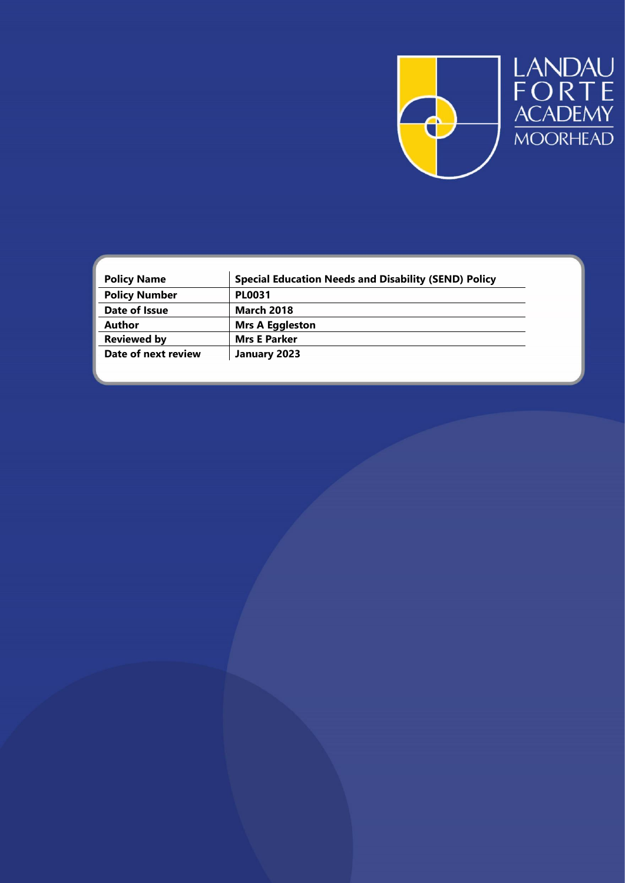

| <b>Policy Name</b>   | <b>Special Education Needs and Disability (SEND) Policy</b> |  |
|----------------------|-------------------------------------------------------------|--|
| <b>Policy Number</b> | <b>PL0031</b>                                               |  |
| Date of Issue        | <b>March 2018</b>                                           |  |
| Author               | <b>Mrs A Eggleston</b>                                      |  |
| <b>Reviewed by</b>   | <b>Mrs E Parker</b>                                         |  |
| Date of next review  | January 2023                                                |  |
|                      |                                                             |  |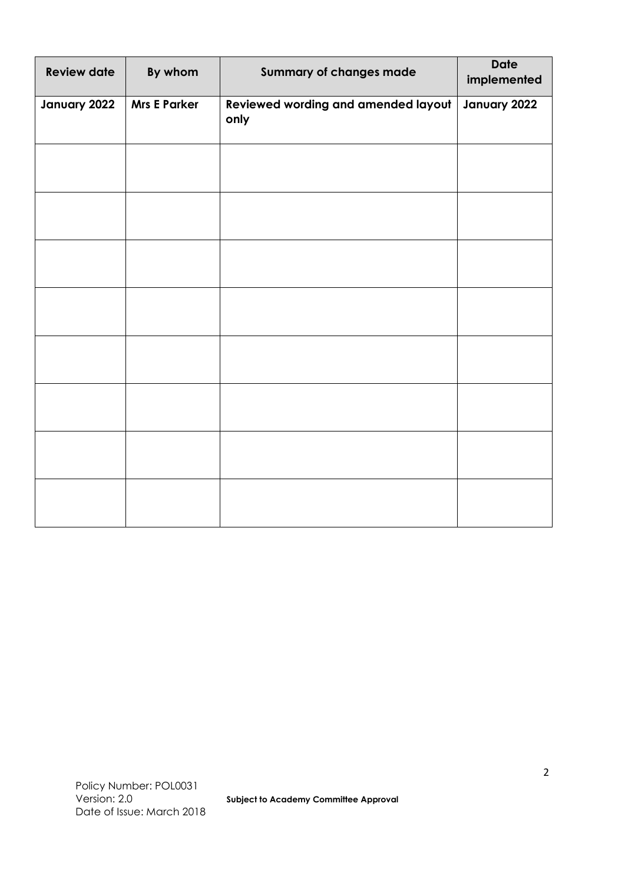| <b>Review date</b> | By whom             | <b>Summary of changes made</b>              | <b>Date</b><br>implemented |
|--------------------|---------------------|---------------------------------------------|----------------------------|
| January 2022       | <b>Mrs E Parker</b> | Reviewed wording and amended layout<br>only | January 2022               |
|                    |                     |                                             |                            |
|                    |                     |                                             |                            |
|                    |                     |                                             |                            |
|                    |                     |                                             |                            |
|                    |                     |                                             |                            |
|                    |                     |                                             |                            |
|                    |                     |                                             |                            |
|                    |                     |                                             |                            |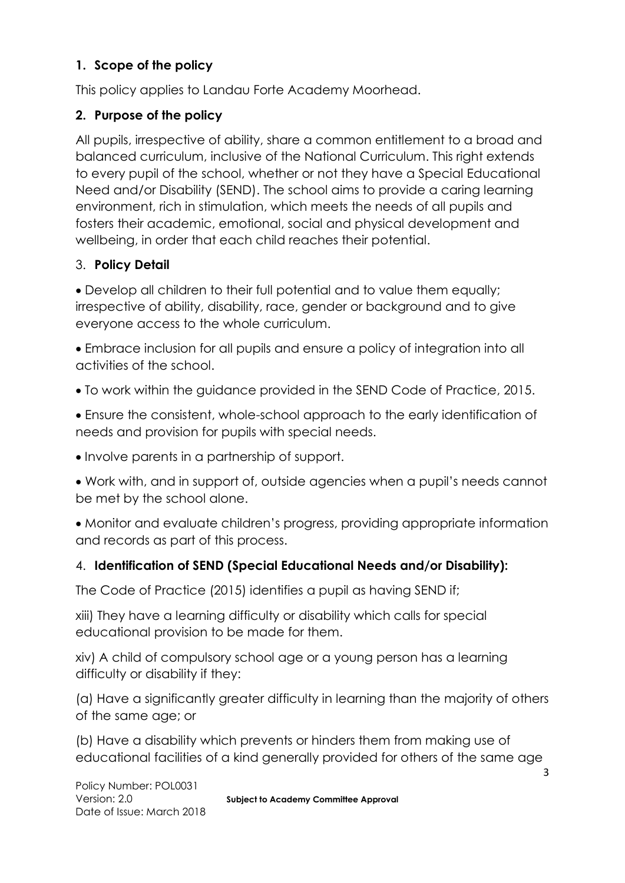### **1. Scope of the policy**

This policy applies to Landau Forte Academy Moorhead.

### **2. Purpose of the policy**

All pupils, irrespective of ability, share a common entitlement to a broad and balanced curriculum, inclusive of the National Curriculum. This right extends to every pupil of the school, whether or not they have a Special Educational Need and/or Disability (SEND). The school aims to provide a caring learning environment, rich in stimulation, which meets the needs of all pupils and fosters their academic, emotional, social and physical development and wellbeing, in order that each child reaches their potential.

### 3. **Policy Detail**

 Develop all children to their full potential and to value them equally; irrespective of ability, disability, race, gender or background and to give everyone access to the whole curriculum.

 Embrace inclusion for all pupils and ensure a policy of integration into all activities of the school.

To work within the guidance provided in the SEND Code of Practice, 2015.

 Ensure the consistent, whole-school approach to the early identification of needs and provision for pupils with special needs.

Involve parents in a partnership of support.

 Work with, and in support of, outside agencies when a pupil's needs cannot be met by the school alone.

 Monitor and evaluate children's progress, providing appropriate information and records as part of this process.

## 4. **Identification of SEND (Special Educational Needs and/or Disability):**

The Code of Practice (2015) identifies a pupil as having SEND if;

xiii) They have a learning difficulty or disability which calls for special educational provision to be made for them.

xiv) A child of compulsory school age or a young person has a learning difficulty or disability if they:

(a) Have a significantly greater difficulty in learning than the majority of others of the same age; or

(b) Have a disability which prevents or hinders them from making use of educational facilities of a kind generally provided for others of the same age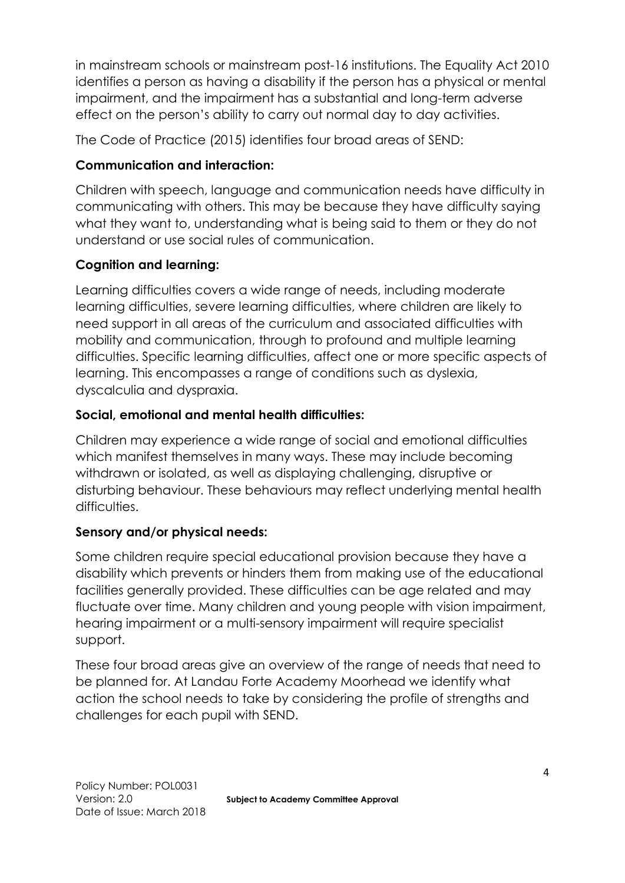in mainstream schools or mainstream post-16 institutions. The Equality Act 2010 identifies a person as having a disability if the person has a physical or mental impairment, and the impairment has a substantial and long-term adverse effect on the person's ability to carry out normal day to day activities.

The Code of Practice (2015) identifies four broad areas of SEND:

# **Communication and interaction:**

Children with speech, language and communication needs have difficulty in communicating with others. This may be because they have difficulty saying what they want to, understanding what is being said to them or they do not understand or use social rules of communication.

# **Cognition and learning:**

Learning difficulties covers a wide range of needs, including moderate learning difficulties, severe learning difficulties, where children are likely to need support in all areas of the curriculum and associated difficulties with mobility and communication, through to profound and multiple learning difficulties. Specific learning difficulties, affect one or more specific aspects of learning. This encompasses a range of conditions such as dyslexia, dyscalculia and dyspraxia.

## **Social, emotional and mental health difficulties:**

Children may experience a wide range of social and emotional difficulties which manifest themselves in many ways. These may include becoming withdrawn or isolated, as well as displaying challenging, disruptive or disturbing behaviour. These behaviours may reflect underlying mental health difficulties.

## **Sensory and/or physical needs:**

Some children require special educational provision because they have a disability which prevents or hinders them from making use of the educational facilities generally provided. These difficulties can be age related and may fluctuate over time. Many children and young people with vision impairment, hearing impairment or a multi-sensory impairment will require specialist support.

These four broad areas give an overview of the range of needs that need to be planned for. At Landau Forte Academy Moorhead we identify what action the school needs to take by considering the profile of strengths and challenges for each pupil with SEND.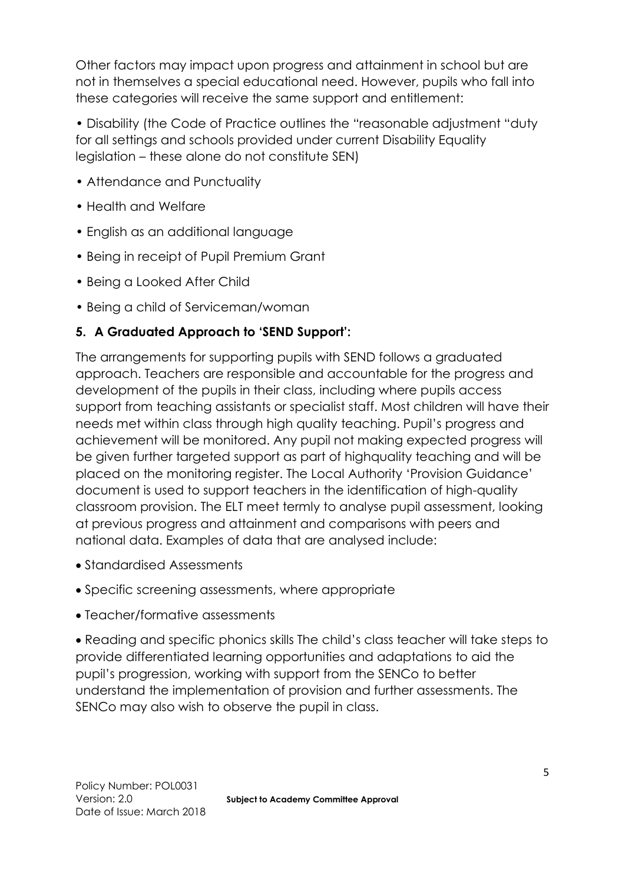Other factors may impact upon progress and attainment in school but are not in themselves a special educational need. However, pupils who fall into these categories will receive the same support and entitlement:

• Disability (the Code of Practice outlines the "reasonable adjustment "duty for all settings and schools provided under current Disability Equality legislation – these alone do not constitute SEN)

- Attendance and Punctuality
- Health and Welfare
- English as an additional language
- Being in receipt of Pupil Premium Grant
- Being a Looked After Child
- Being a child of Serviceman/woman

### **5. A Graduated Approach to 'SEND Support':**

The arrangements for supporting pupils with SEND follows a graduated approach. Teachers are responsible and accountable for the progress and development of the pupils in their class, including where pupils access support from teaching assistants or specialist staff. Most children will have their needs met within class through high quality teaching. Pupil's progress and achievement will be monitored. Any pupil not making expected progress will be given further targeted support as part of highquality teaching and will be placed on the monitoring register. The Local Authority 'Provision Guidance' document is used to support teachers in the identification of high-quality classroom provision. The ELT meet termly to analyse pupil assessment, looking at previous progress and attainment and comparisons with peers and national data. Examples of data that are analysed include:

- Standardised Assessments
- Specific screening assessments, where appropriate
- Teacher/formative assessments

 Reading and specific phonics skills The child's class teacher will take steps to provide differentiated learning opportunities and adaptations to aid the pupil's progression, working with support from the SENCo to better understand the implementation of provision and further assessments. The SENCo may also wish to observe the pupil in class.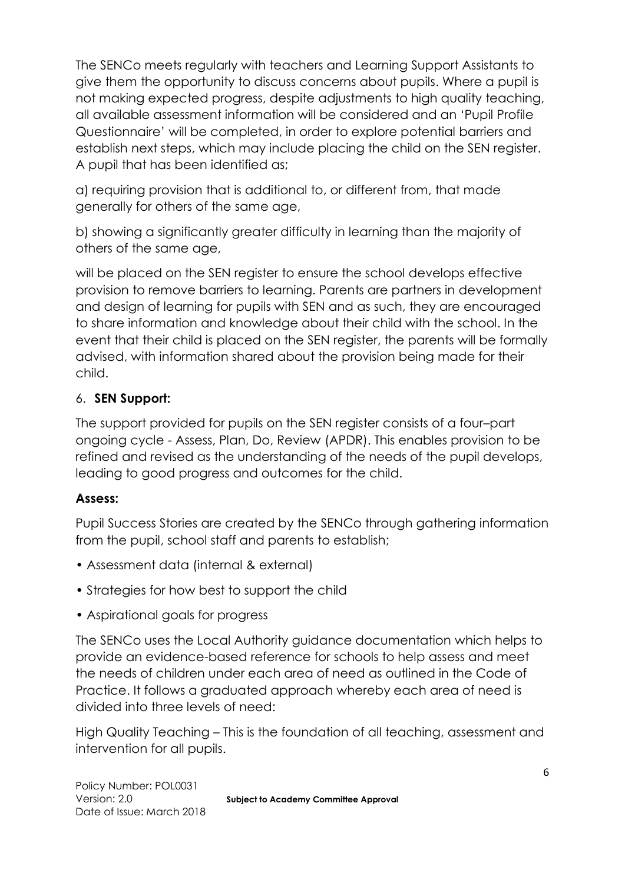The SENCo meets regularly with teachers and Learning Support Assistants to give them the opportunity to discuss concerns about pupils. Where a pupil is not making expected progress, despite adjustments to high quality teaching, all available assessment information will be considered and an 'Pupil Profile Questionnaire' will be completed, in order to explore potential barriers and establish next steps, which may include placing the child on the SEN register. A pupil that has been identified as;

a) requiring provision that is additional to, or different from, that made generally for others of the same age,

b) showing a significantly greater difficulty in learning than the majority of others of the same age,

will be placed on the SEN register to ensure the school develops effective provision to remove barriers to learning. Parents are partners in development and design of learning for pupils with SEN and as such, they are encouraged to share information and knowledge about their child with the school. In the event that their child is placed on the SEN register, the parents will be formally advised, with information shared about the provision being made for their child.

### 6. **SEN Support:**

The support provided for pupils on the SEN register consists of a four–part ongoing cycle - Assess, Plan, Do, Review (APDR). This enables provision to be refined and revised as the understanding of the needs of the pupil develops, leading to good progress and outcomes for the child.

### **Assess:**

Pupil Success Stories are created by the SENCo through gathering information from the pupil, school staff and parents to establish;

- Assessment data (internal & external)
- Strategies for how best to support the child
- Aspirational goals for progress

The SENCo uses the Local Authority guidance documentation which helps to provide an evidence-based reference for schools to help assess and meet the needs of children under each area of need as outlined in the Code of Practice. It follows a graduated approach whereby each area of need is divided into three levels of need:

High Quality Teaching – This is the foundation of all teaching, assessment and intervention for all pupils.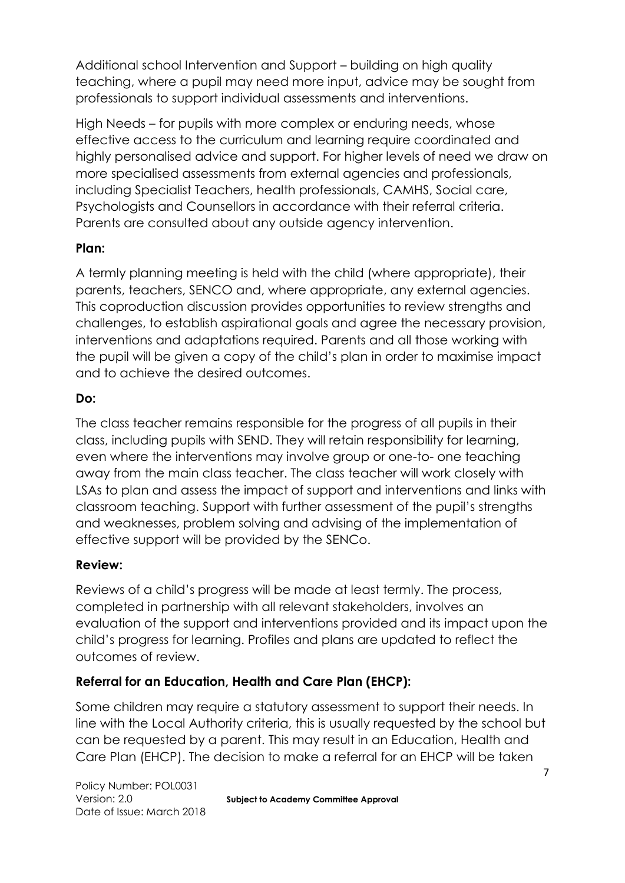Additional school Intervention and Support – building on high quality teaching, where a pupil may need more input, advice may be sought from professionals to support individual assessments and interventions.

High Needs – for pupils with more complex or enduring needs, whose effective access to the curriculum and learning require coordinated and highly personalised advice and support. For higher levels of need we draw on more specialised assessments from external agencies and professionals, including Specialist Teachers, health professionals, CAMHS, Social care, Psychologists and Counsellors in accordance with their referral criteria. Parents are consulted about any outside agency intervention.

### **Plan:**

A termly planning meeting is held with the child (where appropriate), their parents, teachers, SENCO and, where appropriate, any external agencies. This coproduction discussion provides opportunities to review strengths and challenges, to establish aspirational goals and agree the necessary provision, interventions and adaptations required. Parents and all those working with the pupil will be given a copy of the child's plan in order to maximise impact and to achieve the desired outcomes.

### **Do:**

The class teacher remains responsible for the progress of all pupils in their class, including pupils with SEND. They will retain responsibility for learning, even where the interventions may involve group or one-to- one teaching away from the main class teacher. The class teacher will work closely with LSAs to plan and assess the impact of support and interventions and links with classroom teaching. Support with further assessment of the pupil's strengths and weaknesses, problem solving and advising of the implementation of effective support will be provided by the SENCo.

### **Review:**

Reviews of a child's progress will be made at least termly. The process, completed in partnership with all relevant stakeholders, involves an evaluation of the support and interventions provided and its impact upon the child's progress for learning. Profiles and plans are updated to reflect the outcomes of review.

### **Referral for an Education, Health and Care Plan (EHCP):**

Some children may require a statutory assessment to support their needs. In line with the Local Authority criteria, this is usually requested by the school but can be requested by a parent. This may result in an Education, Health and Care Plan (EHCP). The decision to make a referral for an EHCP will be taken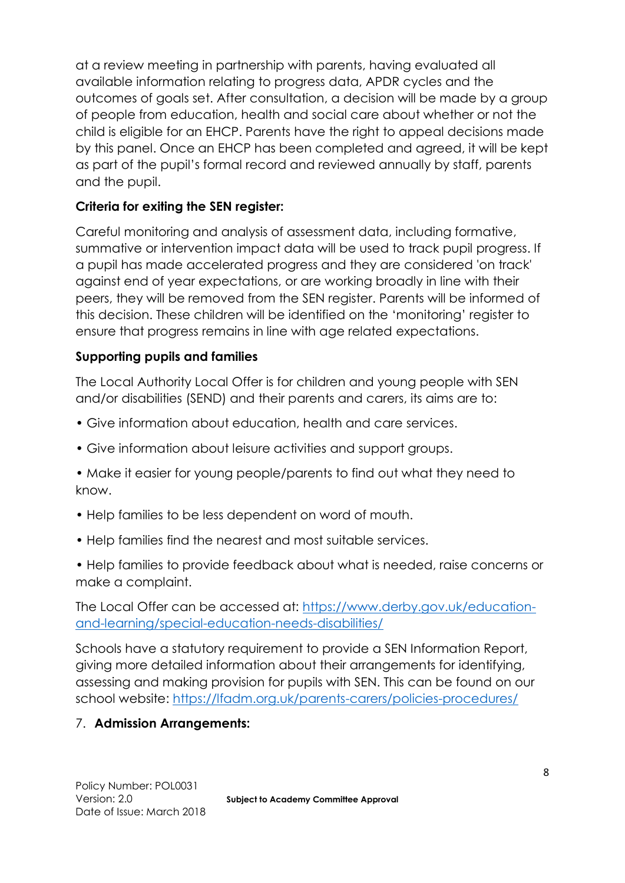at a review meeting in partnership with parents, having evaluated all available information relating to progress data, APDR cycles and the outcomes of goals set. After consultation, a decision will be made by a group of people from education, health and social care about whether or not the child is eligible for an EHCP. Parents have the right to appeal decisions made by this panel. Once an EHCP has been completed and agreed, it will be kept as part of the pupil's formal record and reviewed annually by staff, parents and the pupil.

### **Criteria for exiting the SEN register:**

Careful monitoring and analysis of assessment data, including formative, summative or intervention impact data will be used to track pupil progress. If a pupil has made accelerated progress and they are considered 'on track' against end of year expectations, or are working broadly in line with their peers, they will be removed from the SEN register. Parents will be informed of this decision. These children will be identified on the 'monitoring' register to ensure that progress remains in line with age related expectations.

### **Supporting pupils and families**

The Local Authority Local Offer is for children and young people with SEN and/or disabilities (SEND) and their parents and carers, its aims are to:

- Give information about education, health and care services.
- Give information about leisure activities and support groups.
- Make it easier for young people/parents to find out what they need to know.
- Help families to be less dependent on word of mouth.
- Help families find the nearest and most suitable services.
- Help families to provide feedback about what is needed, raise concerns or make a complaint.

The Local Offer can be accessed at: [https://www.derby.gov.uk/education](https://www.derby.gov.uk/education-and-learning/special-education-needs-disabilities/)[and-learning/special-education-needs-disabilities/](https://www.derby.gov.uk/education-and-learning/special-education-needs-disabilities/)

Schools have a statutory requirement to provide a SEN Information Report, giving more detailed information about their arrangements for identifying, assessing and making provision for pupils with SEN. This can be found on our school website:<https://lfadm.org.uk/parents-carers/policies-procedures/>

### 7. **Admission Arrangements:**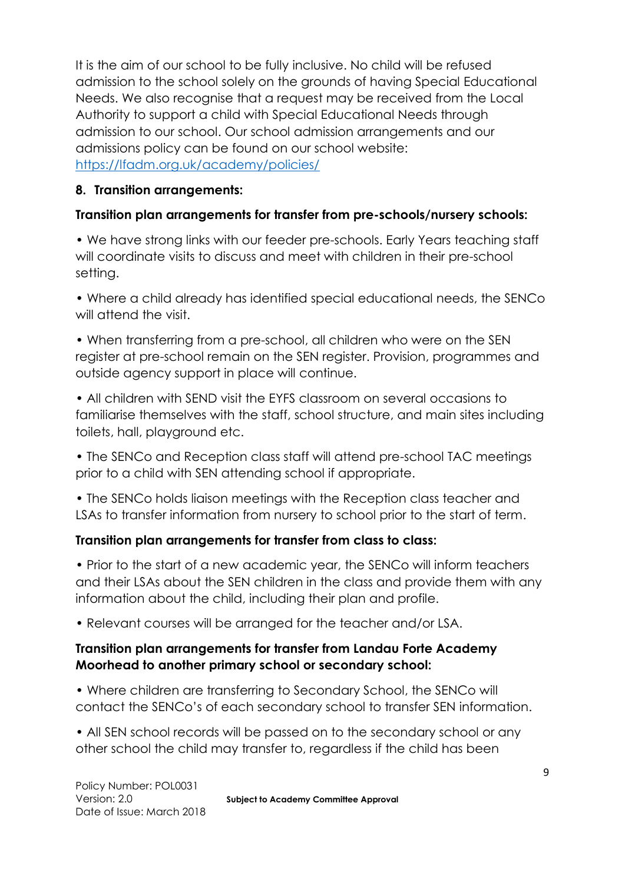It is the aim of our school to be fully inclusive. No child will be refused admission to the school solely on the grounds of having Special Educational Needs. We also recognise that a request may be received from the Local Authority to support a child with Special Educational Needs through admission to our school. Our school admission arrangements and our admissions policy can be found on our school website: <https://lfadm.org.uk/academy/policies/>

### **8. Transition arrangements:**

### **Transition plan arrangements for transfer from pre-schools/nursery schools:**

• We have strong links with our feeder pre-schools. Early Years teaching staff will coordinate visits to discuss and meet with children in their pre-school setting.

• Where a child already has identified special educational needs, the SENCo will attend the visit.

• When transferring from a pre-school, all children who were on the SEN register at pre-school remain on the SEN register. Provision, programmes and outside agency support in place will continue.

• All children with SEND visit the EYFS classroom on several occasions to familiarise themselves with the staff, school structure, and main sites including toilets, hall, playground etc.

• The SENCo and Reception class staff will attend pre-school TAC meetings prior to a child with SEN attending school if appropriate.

• The SENCo holds liaison meetings with the Reception class teacher and LSAs to transfer information from nursery to school prior to the start of term.

### **Transition plan arrangements for transfer from class to class:**

• Prior to the start of a new academic year, the SENCo will inform teachers and their LSAs about the SEN children in the class and provide them with any information about the child, including their plan and profile.

• Relevant courses will be arranged for the teacher and/or LSA.

### **Transition plan arrangements for transfer from Landau Forte Academy Moorhead to another primary school or secondary school:**

• Where children are transferring to Secondary School, the SENCo will contact the SENCo's of each secondary school to transfer SEN information.

• All SEN school records will be passed on to the secondary school or any other school the child may transfer to, regardless if the child has been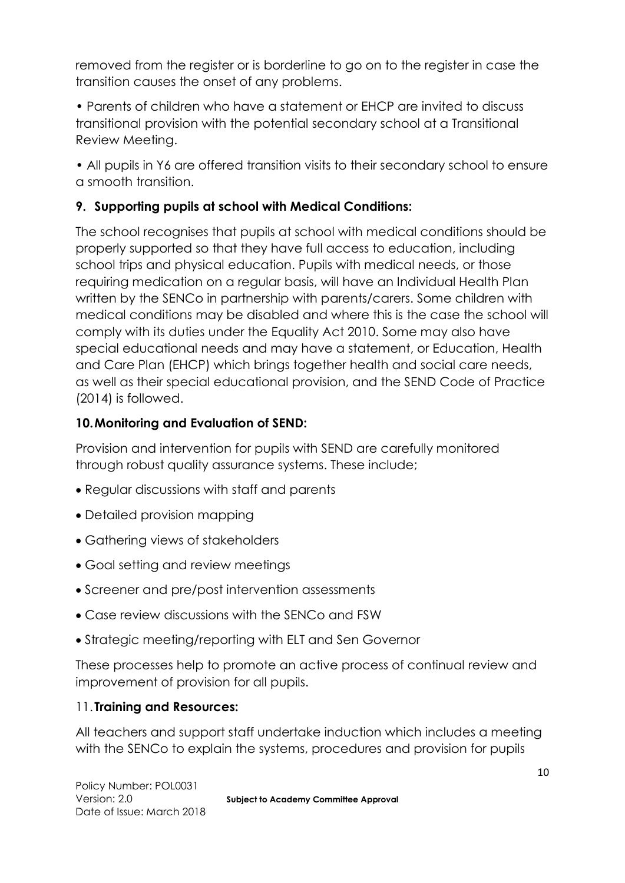removed from the register or is borderline to go on to the register in case the transition causes the onset of any problems.

• Parents of children who have a statement or EHCP are invited to discuss transitional provision with the potential secondary school at a Transitional Review Meeting.

• All pupils in Y6 are offered transition visits to their secondary school to ensure a smooth transition.

## **9. Supporting pupils at school with Medical Conditions:**

The school recognises that pupils at school with medical conditions should be properly supported so that they have full access to education, including school trips and physical education. Pupils with medical needs, or those requiring medication on a regular basis, will have an Individual Health Plan written by the SENCo in partnership with parents/carers. Some children with medical conditions may be disabled and where this is the case the school will comply with its duties under the Equality Act 2010. Some may also have special educational needs and may have a statement, or Education, Health and Care Plan (EHCP) which brings together health and social care needs, as well as their special educational provision, and the SEND Code of Practice (2014) is followed.

### **10.Monitoring and Evaluation of SEND:**

Provision and intervention for pupils with SEND are carefully monitored through robust quality assurance systems. These include;

- Regular discussions with staff and parents
- Detailed provision mapping
- Gathering views of stakeholders
- Goal setting and review meetings
- Screener and pre/post intervention assessments
- Case review discussions with the SENCo and FSW
- Strategic meeting/reporting with ELT and Sen Governor

These processes help to promote an active process of continual review and improvement of provision for all pupils.

### 11. **Training and Resources:**

All teachers and support staff undertake induction which includes a meeting with the SENCo to explain the systems, procedures and provision for pupils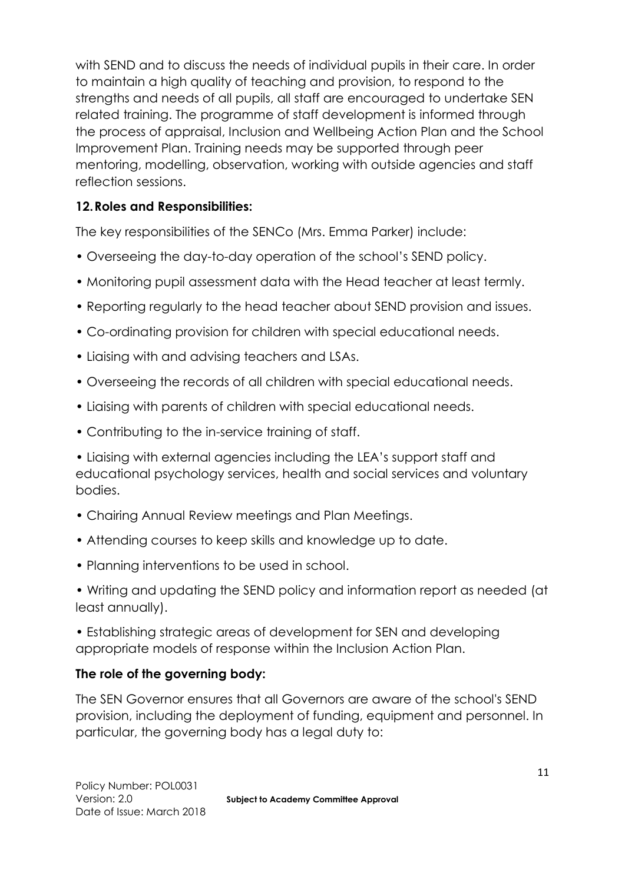with SEND and to discuss the needs of individual pupils in their care. In order to maintain a high quality of teaching and provision, to respond to the strengths and needs of all pupils, all staff are encouraged to undertake SEN related training. The programme of staff development is informed through the process of appraisal, Inclusion and Wellbeing Action Plan and the School Improvement Plan. Training needs may be supported through peer mentoring, modelling, observation, working with outside agencies and staff reflection sessions.

### **12.Roles and Responsibilities:**

The key responsibilities of the SENCo (Mrs. Emma Parker) include:

- Overseeing the day-to-day operation of the school's SEND policy.
- Monitoring pupil assessment data with the Head teacher at least termly.
- Reporting regularly to the head teacher about SEND provision and issues.
- Co-ordinating provision for children with special educational needs.
- Liaising with and advising teachers and LSAs.
- Overseeing the records of all children with special educational needs.
- Liaising with parents of children with special educational needs.
- Contributing to the in-service training of staff.

• Liaising with external agencies including the LEA's support staff and educational psychology services, health and social services and voluntary bodies.

- Chairing Annual Review meetings and Plan Meetings.
- Attending courses to keep skills and knowledge up to date.
- Planning interventions to be used in school.
- Writing and updating the SEND policy and information report as needed (at least annually).

• Establishing strategic areas of development for SEN and developing appropriate models of response within the Inclusion Action Plan.

#### **The role of the governing body:**

The SEN Governor ensures that all Governors are aware of the school's SEND provision, including the deployment of funding, equipment and personnel. In particular, the governing body has a legal duty to: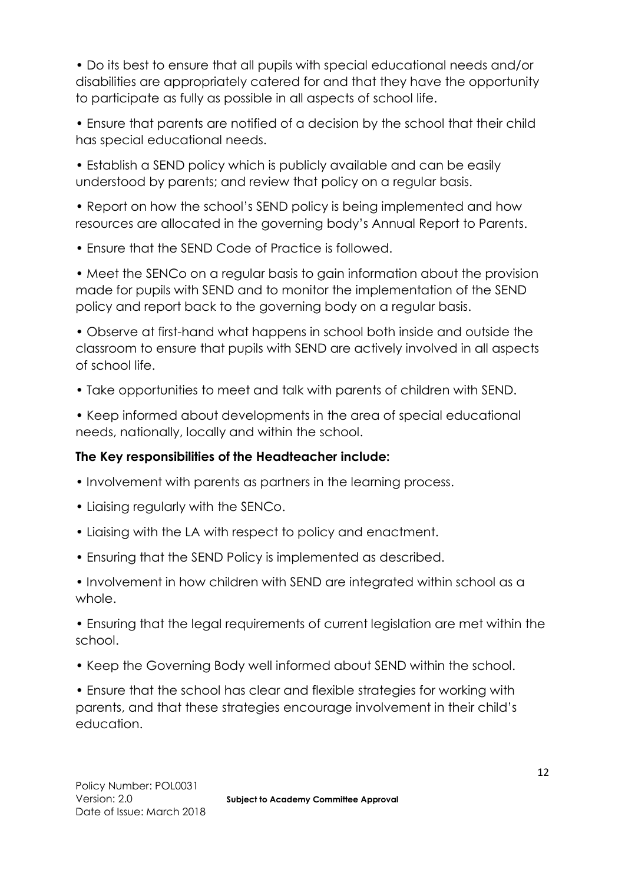• Do its best to ensure that all pupils with special educational needs and/or disabilities are appropriately catered for and that they have the opportunity to participate as fully as possible in all aspects of school life.

• Ensure that parents are notified of a decision by the school that their child has special educational needs.

• Establish a SEND policy which is publicly available and can be easily understood by parents; and review that policy on a regular basis.

• Report on how the school's SEND policy is being implemented and how resources are allocated in the governing body's Annual Report to Parents.

• Ensure that the SEND Code of Practice is followed.

• Meet the SENCo on a regular basis to gain information about the provision made for pupils with SEND and to monitor the implementation of the SEND policy and report back to the governing body on a regular basis.

• Observe at first-hand what happens in school both inside and outside the classroom to ensure that pupils with SEND are actively involved in all aspects of school life.

• Take opportunities to meet and talk with parents of children with SEND.

• Keep informed about developments in the area of special educational needs, nationally, locally and within the school.

## **The Key responsibilities of the Headteacher include:**

- Involvement with parents as partners in the learning process.
- Liaising regularly with the SENCo.
- Liaising with the LA with respect to policy and enactment.
- Ensuring that the SEND Policy is implemented as described.

• Involvement in how children with SEND are integrated within school as a whole.

• Ensuring that the legal requirements of current legislation are met within the school.

• Keep the Governing Body well informed about SEND within the school.

• Ensure that the school has clear and flexible strategies for working with parents, and that these strategies encourage involvement in their child's education.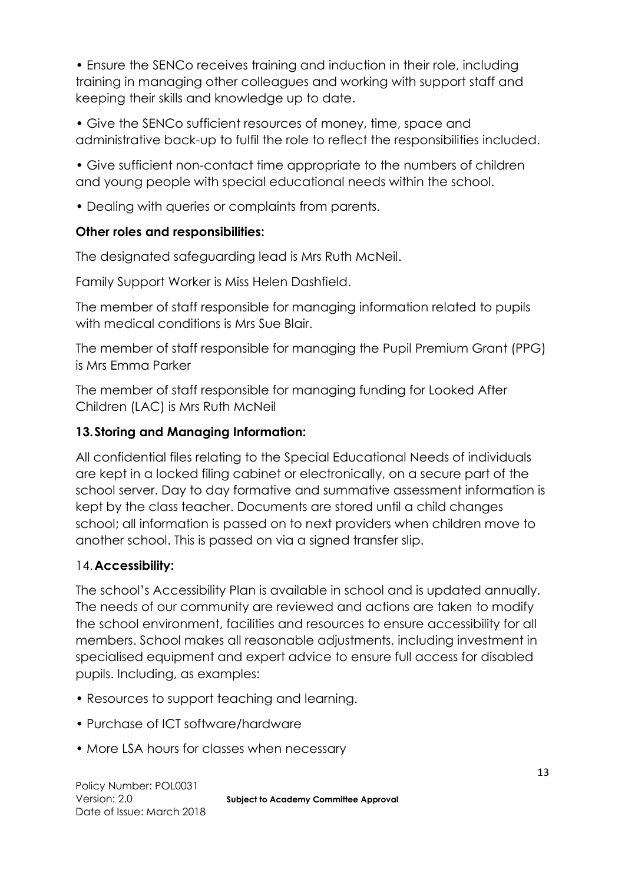• Ensure the SENCo receives training and induction in their role, including training in managing other colleagues and working with support staff and keeping their skills and knowledge up to date.

• Give the SENCo sufficient resources of money, time, space and administrative back-up to fulfil the role to reflect the responsibilities included.

• Give sufficient non-contact time appropriate to the numbers of children and young people with special educational needs within the school.

• Dealing with queries or complaints from parents.

#### **Other roles and responsibilities:**

The designated safeguarding lead is Mrs Ruth McNeil.

Family Support Worker is Miss Helen Dashfield.

The member of staff responsible for managing information related to pupils with medical conditions is Mrs Sue Blair.

The member of staff responsible for managing the Pupil Premium Grant (PPG) is Mrs Emma Parker

The member of staff responsible for managing funding for Looked After Children (LAC) is Mrs Ruth McNeil

### **13.Storing and Managing Information:**

All confidential files relating to the Special Educational Needs of individuals are kept in a locked filing cabinet or electronically, on a secure part of the school server. Day to day formative and summative assessment information is kept by the class teacher. Documents are stored until a child changes school; all information is passed on to next providers when children move to another school. This is passed on via a signed transfer slip.

### 14.**Accessibility:**

The school's Accessibility Plan is available in school and is updated annually. The needs of our community are reviewed and actions are taken to modify the school environment, facilities and resources to ensure accessibility for all members. School makes all reasonable adjustments, including investment in specialised equipment and expert advice to ensure full access for disabled pupils. Including, as examples:

- Resources to support teaching and learning.
- Purchase of ICT software/hardware
- More LSA hours for classes when necessary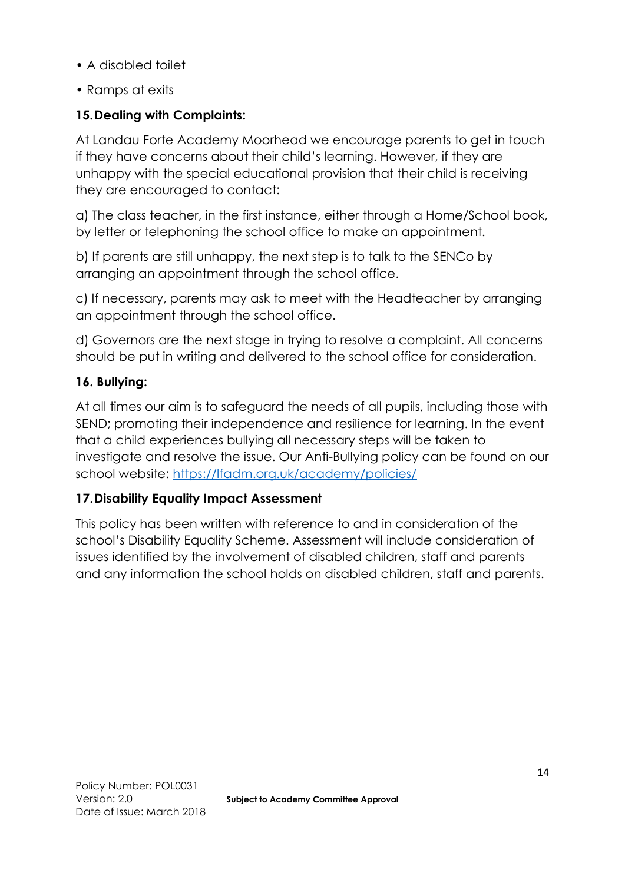- A disabled toilet
- Ramps at exits

### **15.Dealing with Complaints:**

At Landau Forte Academy Moorhead we encourage parents to get in touch if they have concerns about their child's learning. However, if they are unhappy with the special educational provision that their child is receiving they are encouraged to contact:

a) The class teacher, in the first instance, either through a Home/School book, by letter or telephoning the school office to make an appointment.

b) If parents are still unhappy, the next step is to talk to the SENCo by arranging an appointment through the school office.

c) If necessary, parents may ask to meet with the Headteacher by arranging an appointment through the school office.

d) Governors are the next stage in trying to resolve a complaint. All concerns should be put in writing and delivered to the school office for consideration.

#### **16. Bullying:**

At all times our aim is to safeguard the needs of all pupils, including those with SEND; promoting their independence and resilience for learning. In the event that a child experiences bullying all necessary steps will be taken to investigate and resolve the issue. Our Anti-Bullying policy can be found on our school website:<https://lfadm.org.uk/academy/policies/>

#### **17.Disability Equality Impact Assessment**

This policy has been written with reference to and in consideration of the school's Disability Equality Scheme. Assessment will include consideration of issues identified by the involvement of disabled children, staff and parents and any information the school holds on disabled children, staff and parents.